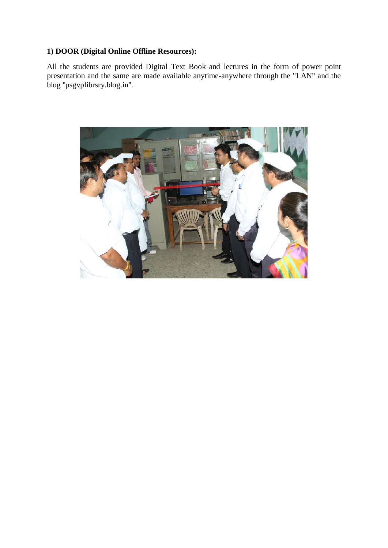## **1) DOOR (Digital Online Offline Resources):**

All the students are provided Digital Text Book and lectures in the form of power point presentation and the same are made available anytime-anywhere through the "LAN" and the blog ''psgvplibrsry.blog.in''.

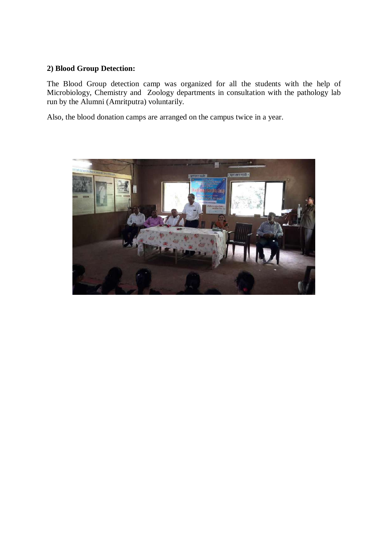#### **2) Blood Group Detection:**

The Blood Group detection camp was organized for all the students with the help of Microbiology, Chemistry and Zoology departments in consultation with the pathology lab run by the Alumni (Amritputra) voluntarily.

Also, the blood donation camps are arranged on the campus twice in a year.

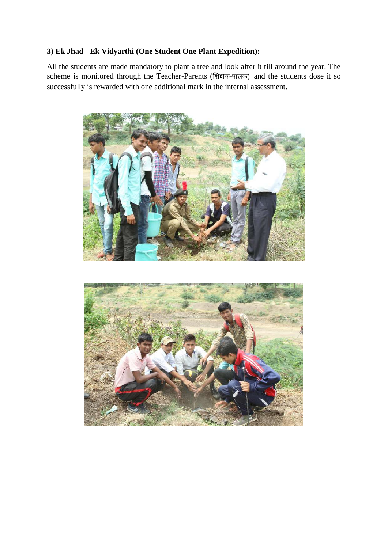## **3) Ek Jhad - Ek Vidyarthi (One Student One Plant Expedition):**

All the students are made mandatory to plant a tree and look after it till around the year. The scheme is monitored through the Teacher-Parents (शिक्षक-पालक) and the students dose it so successfully is rewarded with one additional mark in the internal assessment.



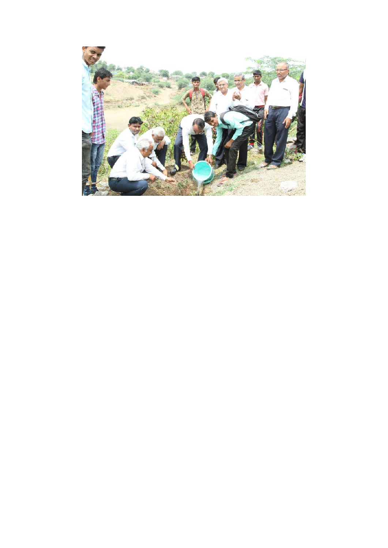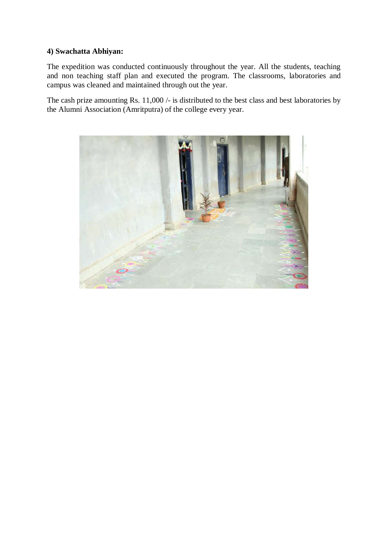#### **4) Swachatta Abhiyan:**

The expedition was conducted continuously throughout the year. All the students, teaching and non teaching staff plan and executed the program. The classrooms, laboratories and campus was cleaned and maintained through out the year.

The cash prize amounting Rs. 11,000 /- is distributed to the best class and best laboratories by the Alumni Association (Amritputra) of the college every year.

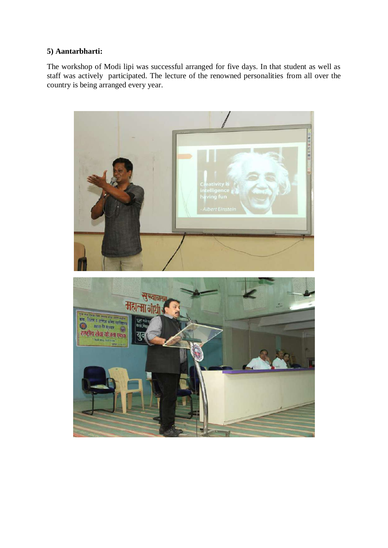### **5) Aantarbharti:**

The workshop of Modi lipi was successful arranged for five days. In that student as well as staff was actively participated. The lecture of the renowned personalities from all over the country is being arranged every year.

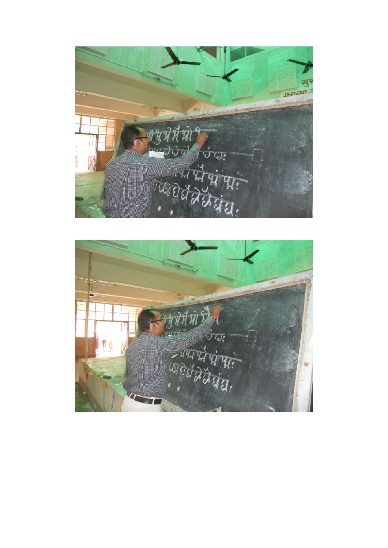